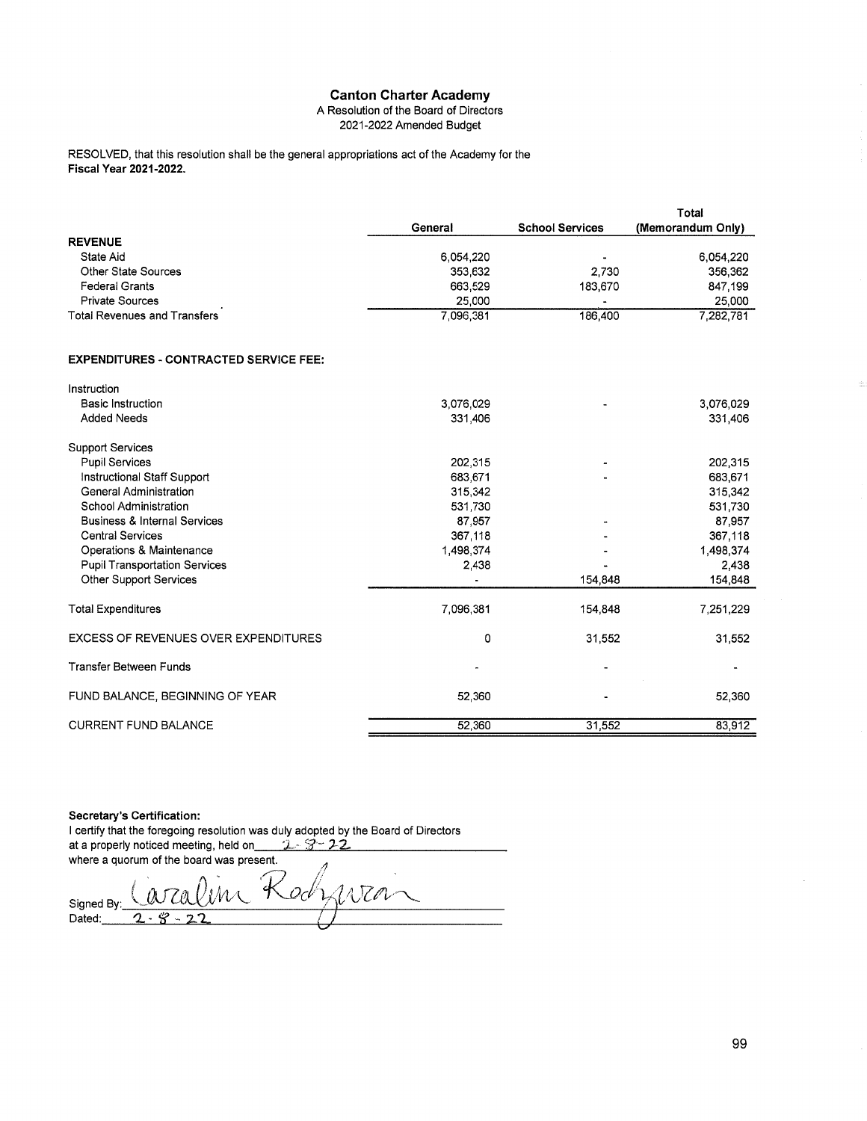#### A Resolution of the Board of Directors 2021-2022 Amended Budget

RESOLVED, that this resolution shall be the general appropriations act of the Academy for the Fiscal Year 2021-2022.

|                                     |           |                        | Total             |
|-------------------------------------|-----------|------------------------|-------------------|
|                                     | General   | <b>School Services</b> | (Memorandum Only) |
| <b>REVENUE</b>                      |           |                        |                   |
| State Aid                           | 6.054.220 | $\blacksquare$         | 6.054.220         |
| Other State Sources                 | 353,632   | 2.730                  | 356,362           |
| <b>Federal Grants</b>               | 663,529   | 183.670                | 847.199           |
| <b>Private Sources</b>              | 25,000    |                        | 25,000            |
| <b>Total Revenues and Transfers</b> | 7.096.381 | 186,400                | 7.282.781         |

## **EXPENDITURES - CONTRACTED SERVICE FEE:**

| Instruction                                 |           |         |           |
|---------------------------------------------|-----------|---------|-----------|
| <b>Basic Instruction</b>                    | 3,076,029 |         | 3,076,029 |
| <b>Added Needs</b>                          | 331,406   |         | 331,406   |
| <b>Support Services</b>                     |           |         |           |
| <b>Pupil Services</b>                       | 202,315   |         | 202,315   |
| Instructional Staff Support                 | 683,671   |         | 683,671   |
| General Administration                      | 315,342   |         | 315,342   |
| School Administration                       | 531,730   |         | 531,730   |
| <b>Business &amp; Internal Services</b>     | 87,957    |         | 87,957    |
| Central Services                            | 367,118   |         | 367,118   |
| Operations & Maintenance                    | 1,498,374 |         | 1,498,374 |
| <b>Pupil Transportation Services</b>        | 2,438     |         | 2,438     |
| <b>Other Support Services</b>               |           | 154,848 | 154,848   |
| <b>Total Expenditures</b>                   | 7,096,381 | 154,848 | 7,251,229 |
| <b>EXCESS OF REVENUES OVER EXPENDITURES</b> | 0         | 31,552  | 31,552    |
| <b>Transfer Between Funds</b>               |           |         |           |
| FUND BALANCE, BEGINNING OF YEAR             | 52,360    |         | 52,360    |
| <b>CURRENT FUND BALANCE</b>                 | 52,360    | 31,552  | 83,912    |

#### Secretary's Certification:

I certify that the foregoing resolution was duly adopted by the Board of Directors at a properly noticed meeting, held on  $2 - 3 - 22$ where a quorum of the board was present.

NTM Qcl Signed By:  $Dated:$  $\overline{2}$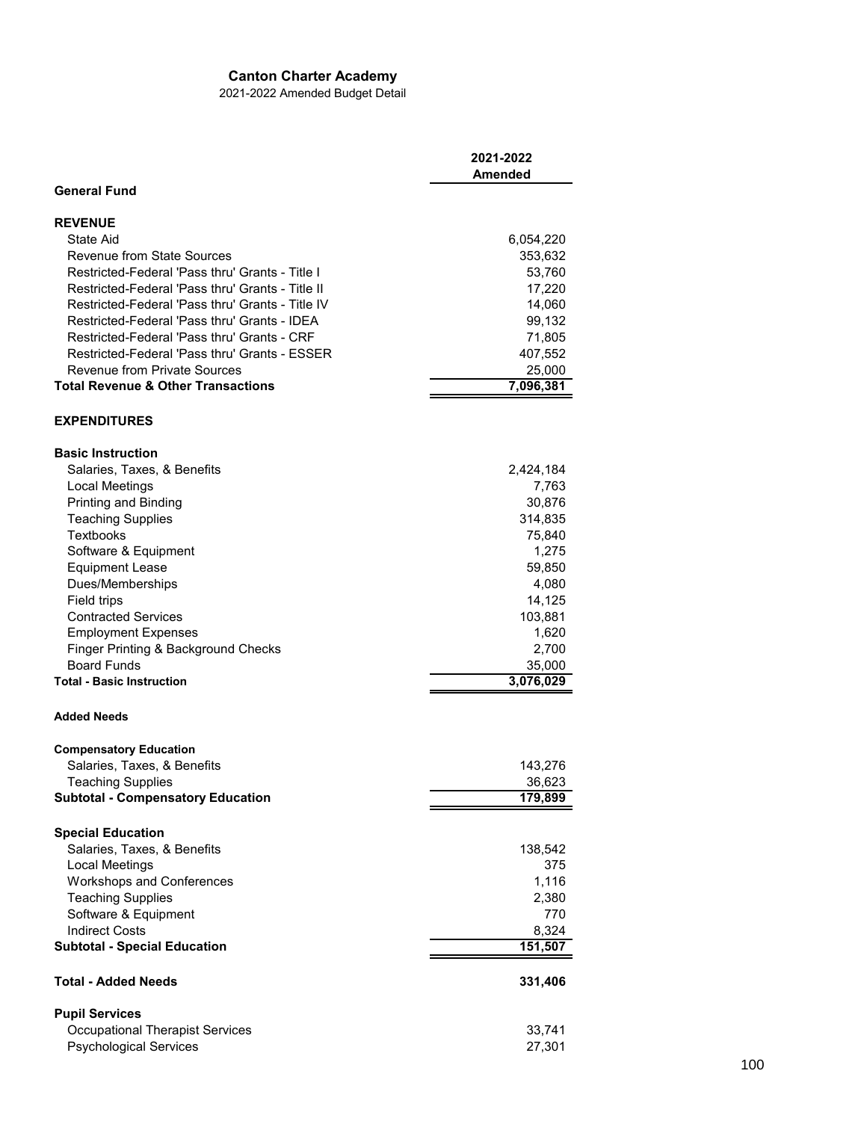2021-2022 Amended Budget Detail

|                                                    | 2021-2022<br><b>Amended</b> |
|----------------------------------------------------|-----------------------------|
| <b>General Fund</b>                                |                             |
| <b>REVENUE</b>                                     |                             |
| State Aid                                          | 6,054,220                   |
| <b>Revenue from State Sources</b>                  | 353,632                     |
| Restricted-Federal 'Pass thru' Grants - Title I    | 53,760                      |
| Restricted-Federal 'Pass thru' Grants - Title II   | 17,220                      |
| Restricted-Federal 'Pass thru' Grants - Title IV   | 14,060                      |
| Restricted-Federal 'Pass thru' Grants - IDEA       | 99,132                      |
| Restricted-Federal 'Pass thru' Grants - CRF        | 71,805                      |
| Restricted-Federal 'Pass thru' Grants - ESSER      | 407,552                     |
| <b>Revenue from Private Sources</b>                | 25,000                      |
| <b>Total Revenue &amp; Other Transactions</b>      | 7,096,381                   |
| <b>EXPENDITURES</b>                                |                             |
| <b>Basic Instruction</b>                           |                             |
| Salaries, Taxes, & Benefits                        | 2,424,184                   |
| Local Meetings                                     | 7,763                       |
| Printing and Binding                               | 30,876                      |
| <b>Teaching Supplies</b>                           | 314,835                     |
| <b>Textbooks</b>                                   | 75,840                      |
| Software & Equipment                               | 1,275                       |
| <b>Equipment Lease</b>                             | 59,850                      |
| Dues/Memberships                                   | 4,080                       |
| Field trips                                        | 14,125                      |
| <b>Contracted Services</b>                         | 103,881                     |
| <b>Employment Expenses</b>                         | 1,620                       |
| Finger Printing & Background Checks                | 2,700                       |
| <b>Board Funds</b>                                 | 35,000                      |
| <b>Total - Basic Instruction</b>                   | 3,076,029                   |
| <b>Added Needs</b>                                 |                             |
| <b>Compensatory Education</b>                      |                             |
| Salaries, Taxes, & Benefits                        | 143,276                     |
| Teaching Supplies                                  | 36,623                      |
| <b>Subtotal - Compensatory Education</b>           | 179,899                     |
| <b>Special Education</b>                           |                             |
| Salaries, Taxes, & Benefits                        |                             |
|                                                    | 138,542<br>375              |
| Local Meetings<br><b>Workshops and Conferences</b> | 1,116                       |
| <b>Teaching Supplies</b>                           |                             |
| Software & Equipment                               | 2,380<br>770                |
| <b>Indirect Costs</b>                              | 8,324                       |
| <b>Subtotal - Special Education</b>                | 151,507                     |
|                                                    |                             |
| <b>Total - Added Needs</b>                         | 331,406                     |
| <b>Pupil Services</b>                              |                             |
| <b>Occupational Therapist Services</b>             | 33,741                      |
| <b>Psychological Services</b>                      | 27,301                      |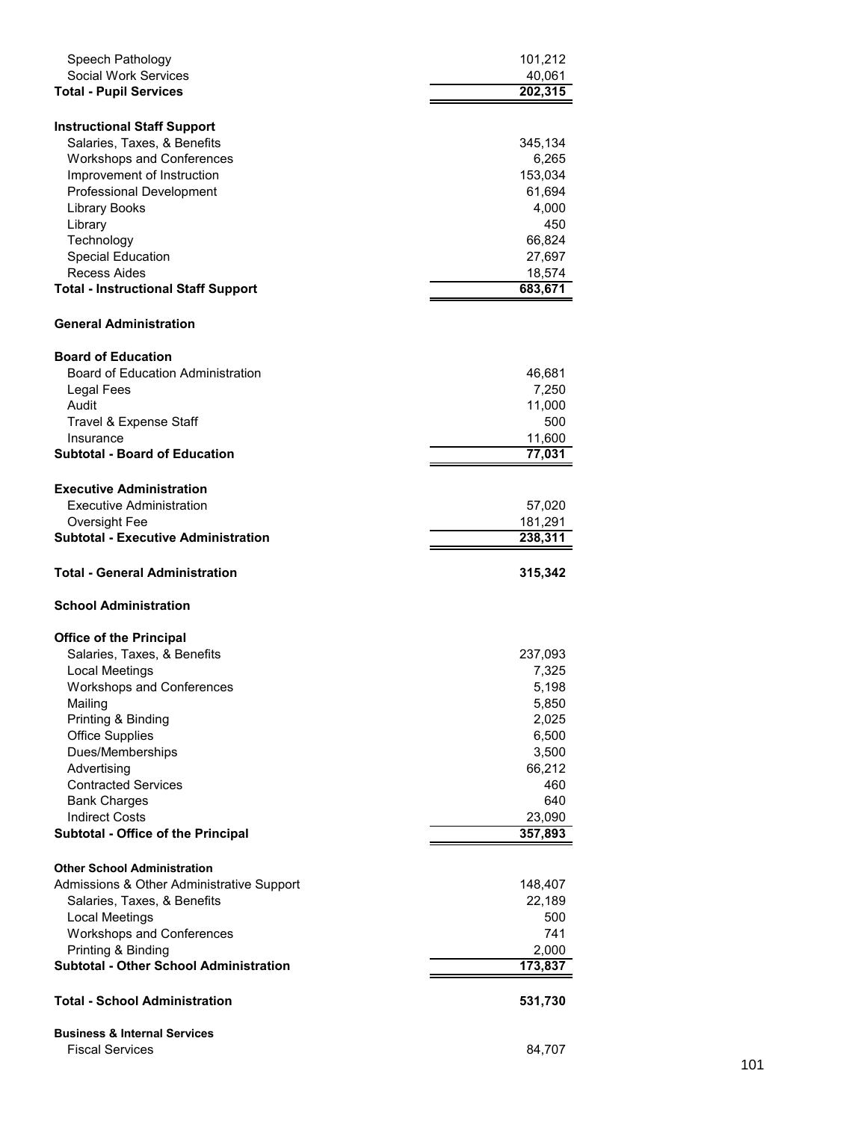| Speech Pathology                                                    | 101,212          |
|---------------------------------------------------------------------|------------------|
| <b>Social Work Services</b>                                         | 40,061           |
| <b>Total - Pupil Services</b>                                       | 202,315          |
|                                                                     |                  |
| <b>Instructional Staff Support</b>                                  |                  |
| Salaries, Taxes, & Benefits                                         | 345,134          |
| <b>Workshops and Conferences</b>                                    | 6,265            |
| Improvement of Instruction<br><b>Professional Development</b>       | 153,034          |
| <b>Library Books</b>                                                | 61,694<br>4,000  |
| Library                                                             | 450              |
| Technology                                                          | 66,824           |
| Special Education                                                   | 27,697           |
| Recess Aides                                                        | 18,574           |
| <b>Total - Instructional Staff Support</b>                          | 683,671          |
|                                                                     |                  |
| <b>General Administration</b>                                       |                  |
| <b>Board of Education</b>                                           |                  |
| Board of Education Administration                                   | 46,681           |
| Legal Fees                                                          | 7,250            |
| Audit                                                               | 11,000           |
| Travel & Expense Staff                                              | 500              |
| Insurance                                                           | 11,600           |
| <b>Subtotal - Board of Education</b>                                | 77,031           |
| <b>Executive Administration</b>                                     |                  |
| Executive Administration                                            | 57,020           |
| Oversight Fee                                                       | 181,291          |
| <b>Subtotal - Executive Administration</b>                          | 238,311          |
|                                                                     |                  |
| <b>Total - General Administration</b>                               | 315,342          |
|                                                                     |                  |
| <b>School Administration</b>                                        |                  |
|                                                                     |                  |
| <b>Office of the Principal</b>                                      |                  |
| Salaries, Taxes, & Benefits                                         | 237,093          |
| Local Meetings                                                      | 7,325            |
| <b>Workshops and Conferences</b>                                    | 5,198            |
| Mailing                                                             | 5,850            |
| Printing & Binding                                                  | 2,025            |
| <b>Office Supplies</b><br>Dues/Memberships                          | 6,500<br>3,500   |
| Advertising                                                         | 66,212           |
| <b>Contracted Services</b>                                          | 460              |
| <b>Bank Charges</b>                                                 | 640              |
| <b>Indirect Costs</b>                                               | 23,090           |
| Subtotal - Office of the Principal                                  | 357,893          |
|                                                                     |                  |
| <b>Other School Administration</b>                                  |                  |
| Admissions & Other Administrative Support                           | 148,407          |
| Salaries, Taxes, & Benefits                                         | 22,189           |
| <b>Local Meetings</b>                                               | 500              |
| <b>Workshops and Conferences</b>                                    | 741              |
| Printing & Binding<br><b>Subtotal - Other School Administration</b> | 2,000<br>173,837 |
| <b>Total - School Administration</b>                                | 531,730          |
|                                                                     |                  |
| <b>Business &amp; Internal Services</b><br><b>Fiscal Services</b>   | 84,707           |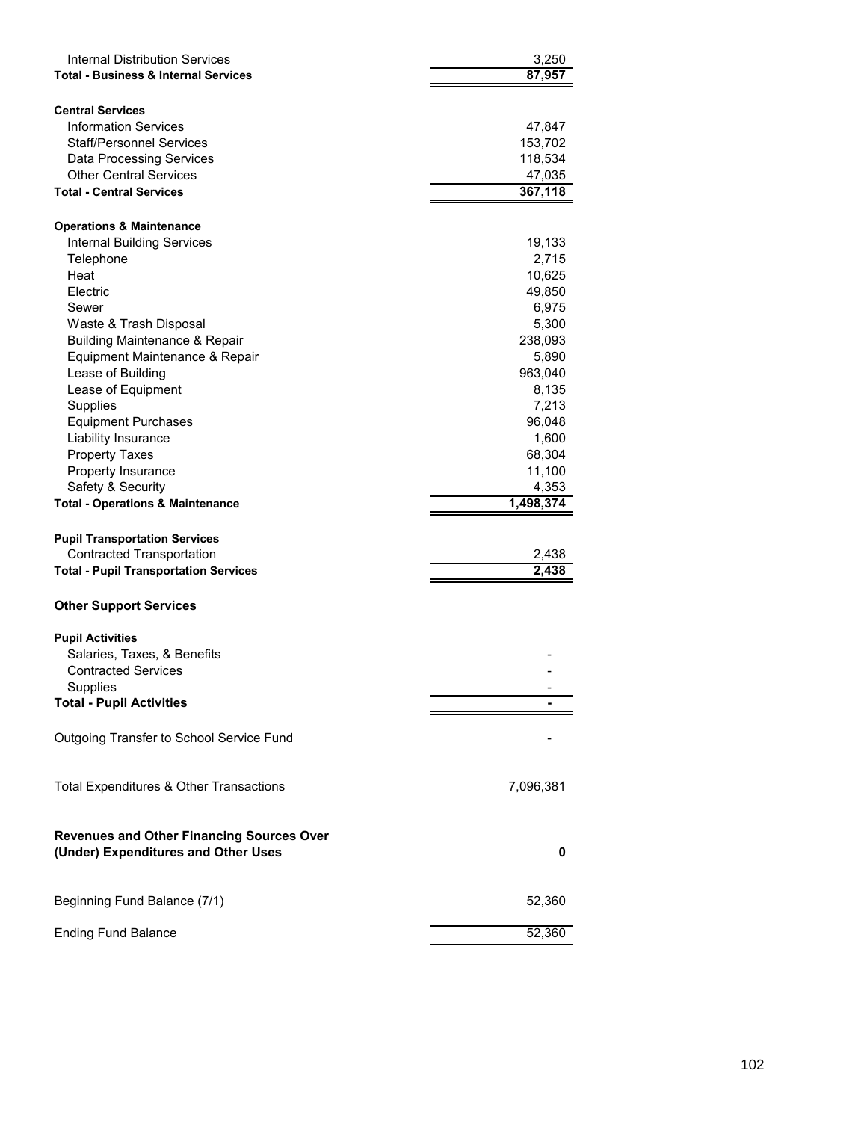| <b>Internal Distribution Services</b><br><b>Total - Business &amp; Internal Services</b> | 3,250<br>87,957 |
|------------------------------------------------------------------------------------------|-----------------|
|                                                                                          |                 |
| <b>Central Services</b><br><b>Information Services</b>                                   |                 |
|                                                                                          | 47,847          |
| Staff/Personnel Services                                                                 | 153,702         |
| <b>Data Processing Services</b>                                                          | 118,534         |
| <b>Other Central Services</b>                                                            | 47,035          |
| <b>Total - Central Services</b>                                                          | 367,118         |
| <b>Operations &amp; Maintenance</b>                                                      |                 |
| <b>Internal Building Services</b>                                                        |                 |
| Telephone                                                                                | 19,133<br>2,715 |
| Heat                                                                                     | 10,625          |
| Electric                                                                                 | 49,850          |
| Sewer                                                                                    | 6,975           |
| Waste & Trash Disposal                                                                   | 5,300           |
| <b>Building Maintenance &amp; Repair</b>                                                 | 238,093         |
| Equipment Maintenance & Repair                                                           | 5,890           |
| Lease of Building                                                                        | 963,040         |
| Lease of Equipment                                                                       | 8,135           |
| <b>Supplies</b>                                                                          | 7,213           |
| <b>Equipment Purchases</b>                                                               | 96,048          |
| Liability Insurance                                                                      | 1,600           |
| <b>Property Taxes</b>                                                                    | 68,304          |
| Property Insurance                                                                       | 11,100          |
| Safety & Security                                                                        | 4,353           |
|                                                                                          |                 |
|                                                                                          |                 |
| <b>Total - Operations &amp; Maintenance</b>                                              | 1,498,374       |
|                                                                                          |                 |
| <b>Pupil Transportation Services</b>                                                     |                 |
| <b>Contracted Transportation</b>                                                         | 2,438<br>2,438  |
| <b>Total - Pupil Transportation Services</b>                                             |                 |
| <b>Other Support Services</b>                                                            |                 |
|                                                                                          |                 |
| <b>Pupil Activities</b>                                                                  |                 |
| Salaries, Taxes, & Benefits                                                              |                 |
| <b>Contracted Services</b>                                                               |                 |
| Supplies<br><b>Total - Pupil Activities</b>                                              |                 |
|                                                                                          |                 |
| Outgoing Transfer to School Service Fund                                                 |                 |
|                                                                                          |                 |
|                                                                                          |                 |
| Total Expenditures & Other Transactions                                                  | 7,096,381       |
|                                                                                          |                 |
| <b>Revenues and Other Financing Sources Over</b>                                         |                 |
| (Under) Expenditures and Other Uses                                                      | 0               |
|                                                                                          |                 |
| Beginning Fund Balance (7/1)                                                             | 52,360          |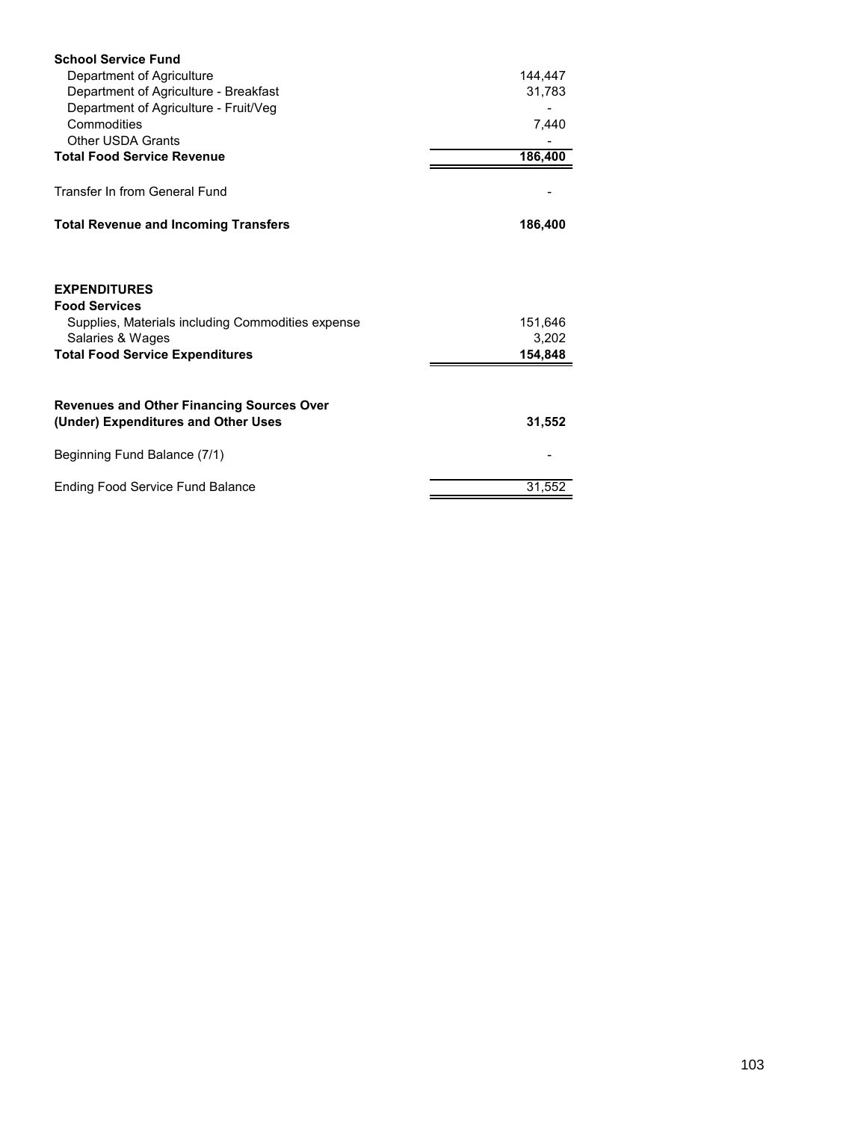| <b>School Service Fund</b>                                                                                           |                  |
|----------------------------------------------------------------------------------------------------------------------|------------------|
| Department of Agriculture                                                                                            | 144,447          |
| Department of Agriculture - Breakfast                                                                                | 31,783           |
| Department of Agriculture - Fruit/Veg                                                                                |                  |
| Commodities                                                                                                          | 7,440            |
| <b>Other USDA Grants</b>                                                                                             |                  |
| <b>Total Food Service Revenue</b>                                                                                    | 186,400          |
| Transfer In from General Fund                                                                                        |                  |
| <b>Total Revenue and Incoming Transfers</b>                                                                          | 186,400          |
| <b>EXPENDITURES</b><br><b>Food Services</b><br>Supplies, Materials including Commodities expense<br>Salaries & Wages | 151,646<br>3,202 |
| <b>Total Food Service Expenditures</b>                                                                               | 154,848          |
| <b>Revenues and Other Financing Sources Over</b><br>(Under) Expenditures and Other Uses                              | 31,552           |
| Beginning Fund Balance (7/1)                                                                                         |                  |
| <b>Ending Food Service Fund Balance</b>                                                                              | 31,552           |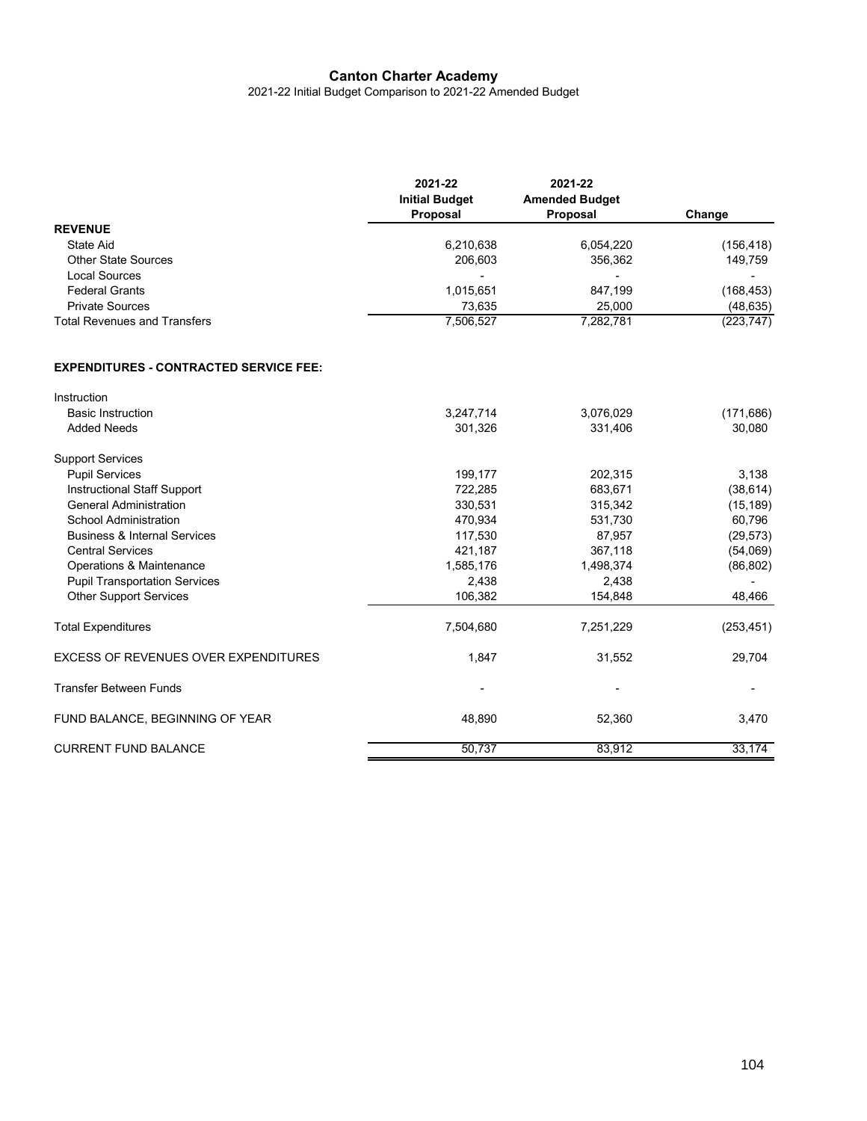2021-22 Initial Budget Comparison to 2021-22 Amended Budget

|                                     | 2021-22<br><b>Initial Budget</b><br>Proposal | 2021-22<br><b>Amended Budget</b><br>Proposal | Change     |
|-------------------------------------|----------------------------------------------|----------------------------------------------|------------|
| <b>REVENUE</b>                      |                                              |                                              |            |
| State Aid                           | 6,210,638                                    | 6,054,220                                    | (156,418)  |
| <b>Other State Sources</b>          | 206,603                                      | 356,362                                      | 149,759    |
| Local Sources                       | $\overline{\phantom{0}}$                     | $\overline{\phantom{a}}$                     |            |
| <b>Federal Grants</b>               | 1,015,651                                    | 847,199                                      | (168,453)  |
| <b>Private Sources</b>              | 73.635                                       | 25.000                                       | (48, 635)  |
| <b>Total Revenues and Transfers</b> | 7,506,527                                    | 7,282,781                                    | (223, 747) |

## **EXPENDITURES - CONTRACTED SERVICE FEE:**

| Instruction                                 |           |           |            |
|---------------------------------------------|-----------|-----------|------------|
| <b>Basic Instruction</b>                    | 3,247,714 | 3,076,029 | (171, 686) |
| <b>Added Needs</b>                          | 301,326   | 331,406   | 30,080     |
| <b>Support Services</b>                     |           |           |            |
| <b>Pupil Services</b>                       | 199,177   | 202,315   | 3,138      |
| <b>Instructional Staff Support</b>          | 722,285   | 683,671   | (38, 614)  |
| <b>General Administration</b>               | 330,531   | 315,342   | (15, 189)  |
| <b>School Administration</b>                | 470,934   | 531,730   | 60,796     |
| <b>Business &amp; Internal Services</b>     | 117,530   | 87,957    | (29, 573)  |
| <b>Central Services</b>                     | 421,187   | 367,118   | (54,069)   |
| Operations & Maintenance                    | 1,585,176 | 1,498,374 | (86, 802)  |
| <b>Pupil Transportation Services</b>        | 2,438     | 2,438     |            |
| <b>Other Support Services</b>               | 106,382   | 154,848   | 48,466     |
| <b>Total Expenditures</b>                   | 7,504,680 | 7,251,229 | (253, 451) |
| <b>EXCESS OF REVENUES OVER EXPENDITURES</b> | 1,847     | 31,552    | 29,704     |
| <b>Transfer Between Funds</b>               | ٠         | ٠         |            |
| FUND BALANCE, BEGINNING OF YEAR             | 48,890    | 52,360    | 3,470      |
| <b>CURRENT FUND BALANCE</b>                 | 50,737    | 83,912    | 33,174     |